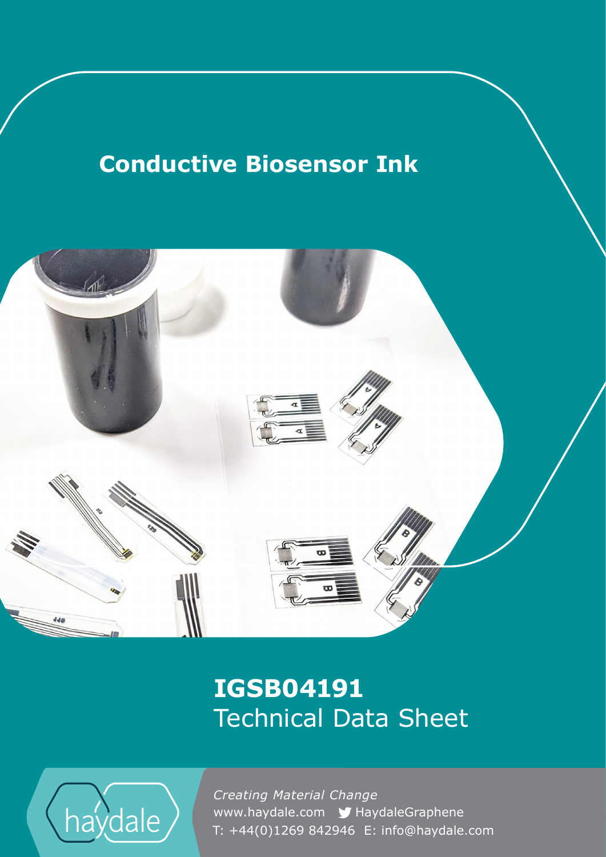# **Conductive Biosensor Ink**



## **IGSB04191** Technical Data Sheet



www.haydale.com y HaydaleGraphene *Creating Material Change*  T: +44(0)1269 842946 E: info@haydale.com